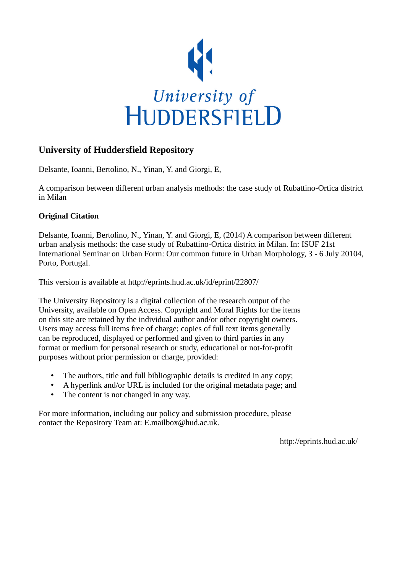

## **University of Huddersfield Repository**

Delsante, Ioanni, Bertolino, N., Yinan, Y. and Giorgi, E,

A comparison between different urban analysis methods: the case study of Rubattino-Ortica district in Milan

## **Original Citation**

Delsante, Ioanni, Bertolino, N., Yinan, Y. and Giorgi, E, (2014) A comparison between different urban analysis methods: the case study of Rubattino-Ortica district in Milan. In: ISUF 21st International Seminar on Urban Form: Our common future in Urban Morphology, 3 - 6 July 20104, Porto, Portugal.

This version is available at http://eprints.hud.ac.uk/id/eprint/22807/

The University Repository is a digital collection of the research output of the University, available on Open Access. Copyright and Moral Rights for the items on this site are retained by the individual author and/or other copyright owners. Users may access full items free of charge; copies of full text items generally can be reproduced, displayed or performed and given to third parties in any format or medium for personal research or study, educational or not-for-profit purposes without prior permission or charge, provided:

- The authors, title and full bibliographic details is credited in any copy;
- A hyperlink and/or URL is included for the original metadata page; and
- The content is not changed in any way.

For more information, including our policy and submission procedure, please contact the Repository Team at: E.mailbox@hud.ac.uk.

http://eprints.hud.ac.uk/